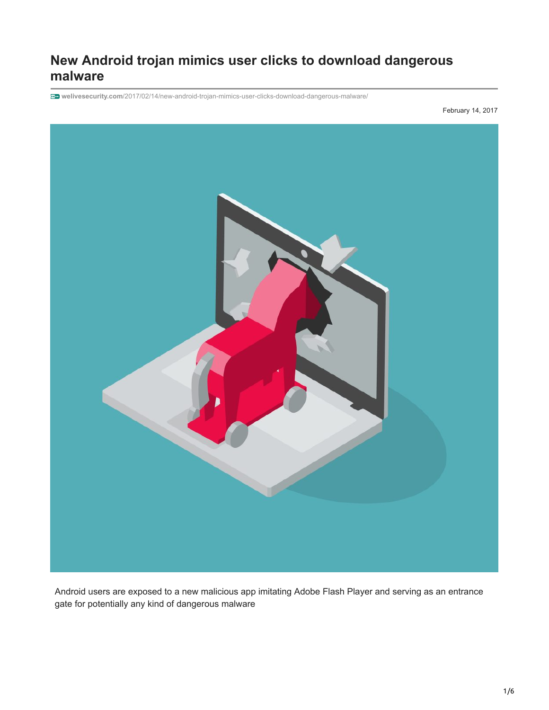# **New Android trojan mimics user clicks to download dangerous malware**

**welivesecurity.com**[/2017/02/14/new-android-trojan-mimics-user-clicks-download-dangerous-malware/](https://www.welivesecurity.com/2017/02/14/new-android-trojan-mimics-user-clicks-download-dangerous-malware/)

February 14, 2017



Android users are exposed to a new malicious app imitating Adobe Flash Player and serving as an entrance gate for potentially any kind of dangerous malware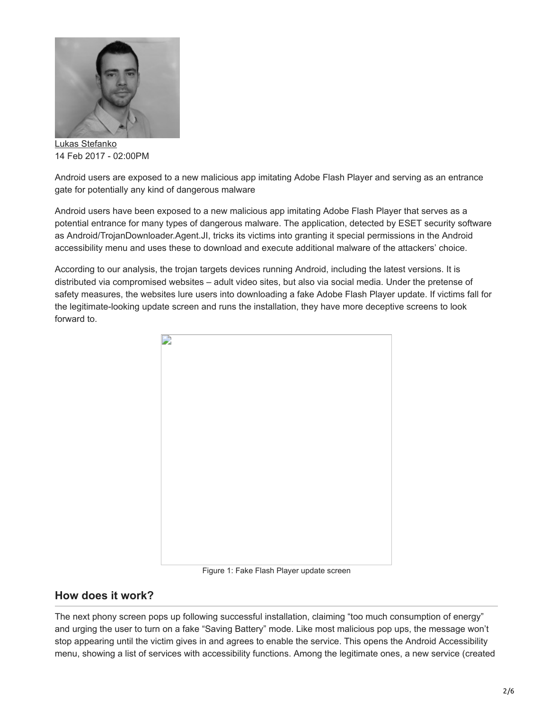

[Lukas Stefanko](https://www.welivesecurity.com/author/lstefanko/) 14 Feb 2017 - 02:00PM

Android users are exposed to a new malicious app imitating Adobe Flash Player and serving as an entrance gate for potentially any kind of dangerous malware

Android users have been exposed to a new malicious app imitating Adobe Flash Player that serves as a potential entrance for many types of dangerous malware. The application, detected by ESET security software as Android/TrojanDownloader.Agent.JI, tricks its victims into granting it special permissions in the Android accessibility menu and uses these to download and execute additional malware of the attackers' choice.

According to our analysis, the trojan targets devices running Android, including the latest versions. It is distributed via compromised websites – adult video sites, but also via social media. Under the pretense of safety measures, the websites lure users into downloading a fake Adobe Flash Player update. If victims fall for the legitimate-looking update screen and runs the installation, they have more deceptive screens to look forward to.



Figure 1: Fake Flash Player update screen

#### **How does it work?**

The next phony screen pops up following successful installation, claiming "too much consumption of energy" and urging the user to turn on a fake "Saving Battery" mode. Like most malicious pop ups, the message won't stop appearing until the victim gives in and agrees to enable the service. This opens the Android Accessibility menu, showing a list of services with accessibility functions. Among the legitimate ones, a new service (created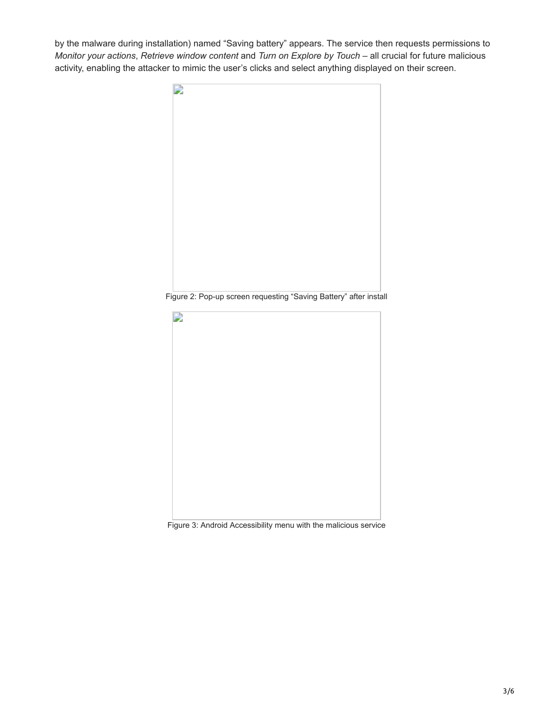by the malware during installation) named "Saving battery" appears. The service then requests permissions to *Monitor your actions*, *Retrieve window content* and *Turn on Explore by Touch* – all crucial for future malicious activity, enabling the attacker to mimic the user's clicks and select anything displayed on their screen.



Figure 3: Android Accessibility menu with the malicious service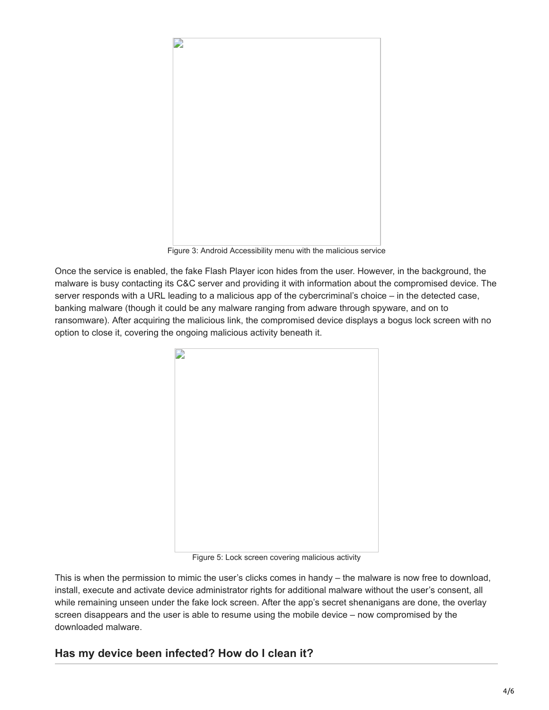

Figure 3: Android Accessibility menu with the malicious service

Once the service is enabled, the fake Flash Player icon hides from the user. However, in the background, the malware is busy contacting its C&C server and providing it with information about the compromised device. The server responds with a URL leading to a malicious app of the cybercriminal's choice – in the detected case, banking malware (though it could be any malware ranging from adware through spyware, and on to ransomware). After acquiring the malicious link, the compromised device displays a bogus lock screen with no option to close it, covering the ongoing malicious activity beneath it.



Figure 5: Lock screen covering malicious activity

This is when the permission to mimic the user's clicks comes in handy – the malware is now free to download, install, execute and activate device administrator rights for additional malware without the user's consent, all while remaining unseen under the fake lock screen. After the app's secret shenanigans are done, the overlay screen disappears and the user is able to resume using the mobile device – now compromised by the downloaded malware.

## **Has my device been infected? How do I clean it?**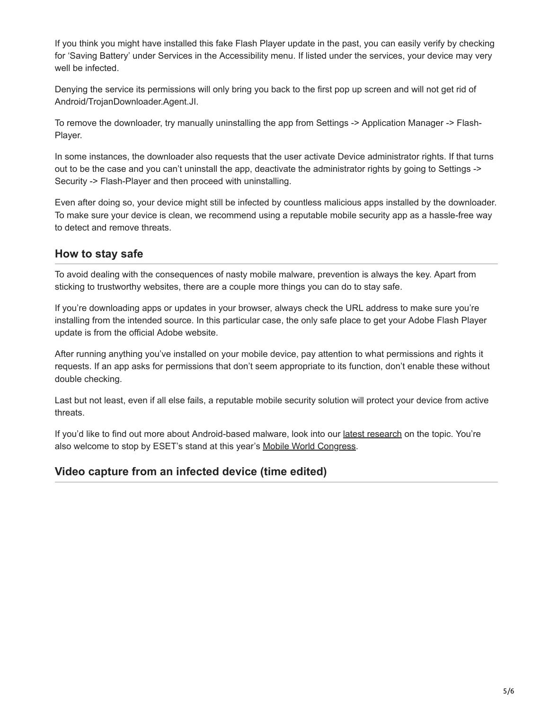If you think you might have installed this fake Flash Player update in the past, you can easily verify by checking for 'Saving Battery' under Services in the Accessibility menu. If listed under the services, your device may very well be infected.

Denying the service its permissions will only bring you back to the first pop up screen and will not get rid of Android/TrojanDownloader.Agent.JI.

To remove the downloader, try manually uninstalling the app from Settings -> Application Manager -> Flash-Player.

In some instances, the downloader also requests that the user activate Device administrator rights. If that turns out to be the case and you can't uninstall the app, deactivate the administrator rights by going to Settings -> Security -> Flash-Player and then proceed with uninstalling.

Even after doing so, your device might still be infected by countless malicious apps installed by the downloader. To make sure your device is clean, we recommend using a reputable mobile security app as a hassle-free way to detect and remove threats.

## **How to stay safe**

To avoid dealing with the consequences of nasty mobile malware, prevention is always the key. Apart from sticking to trustworthy websites, there are a couple more things you can do to stay safe.

If you're downloading apps or updates in your browser, always check the URL address to make sure you're installing from the intended source. In this particular case, the only safe place to get your Adobe Flash Player update is from the official Adobe website.

After running anything you've installed on your mobile device, pay attention to what permissions and rights it requests. If an app asks for permissions that don't seem appropriate to its function, don't enable these without double checking.

Last but not least, even if all else fails, a reputable mobile security solution will protect your device from active threats.

If you'd like to find out more about Android-based malware, look into our [latest research](http://www.welivesecurity.com/category/android-2/) on the topic. You're also welcome to stop by ESET's stand at this year's [Mobile World Congress](https://www.mobileworldcongress.com/).

## **Video capture from an infected device (time edited)**